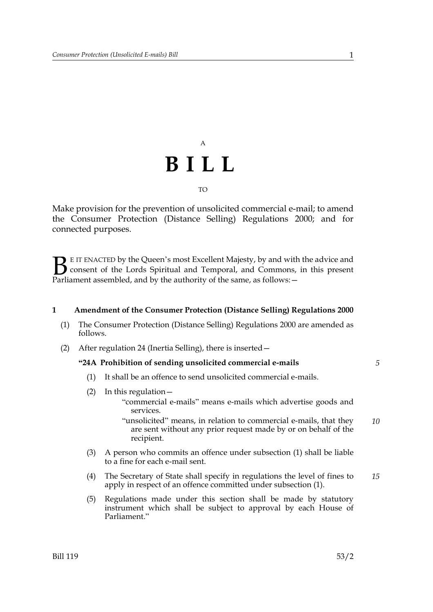## A **BILL** TO

Make provision for the prevention of unsolicited commercial e-mail; to amend the Consumer Protection (Distance Selling) Regulations 2000; and for connected purposes.

E IT ENACTED by the Queen's most Excellent Majesty, by and with the advice and consent of the Lords Spiritual and Temporal, and Commons, in this present Parliament assembled, and by the authority of the same, as follows: - $\mathbf{B}_{\text{rel}}$ 

#### **1 Amendment of the Consumer Protection (Distance Selling) Regulations 2000**

- (1) The Consumer Protection (Distance Selling) Regulations 2000 are amended as follows.
- (2) After regulation 24 (Inertia Selling), there is inserted—

#### **"24A Prohibition of sending unsolicited commercial e-mails**

- (1) It shall be an offence to send unsolicited commercial e-mails.
- (2) In this regulation—
	- "commercial e-mails" means e-mails which advertise goods and services.
	- "unsolicited" means, in relation to commercial e-mails, that they are sent without any prior request made by or on behalf of the recipient. *10*
- (3) A person who commits an offence under subsection (1) shall be liable to a fine for each e-mail sent.
- (4) The Secretary of State shall specify in regulations the level of fines to apply in respect of an offence committed under subsection (1). *15*
- (5) Regulations made under this section shall be made by statutory instrument which shall be subject to approval by each House of Parliament."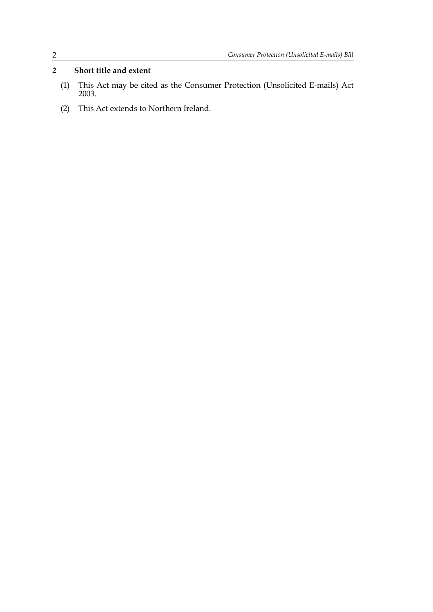### **2 Short title and extent**

- (1) This Act may be cited as the Consumer Protection (Unsolicited E-mails) Act 2003.
- (2) This Act extends to Northern Ireland.